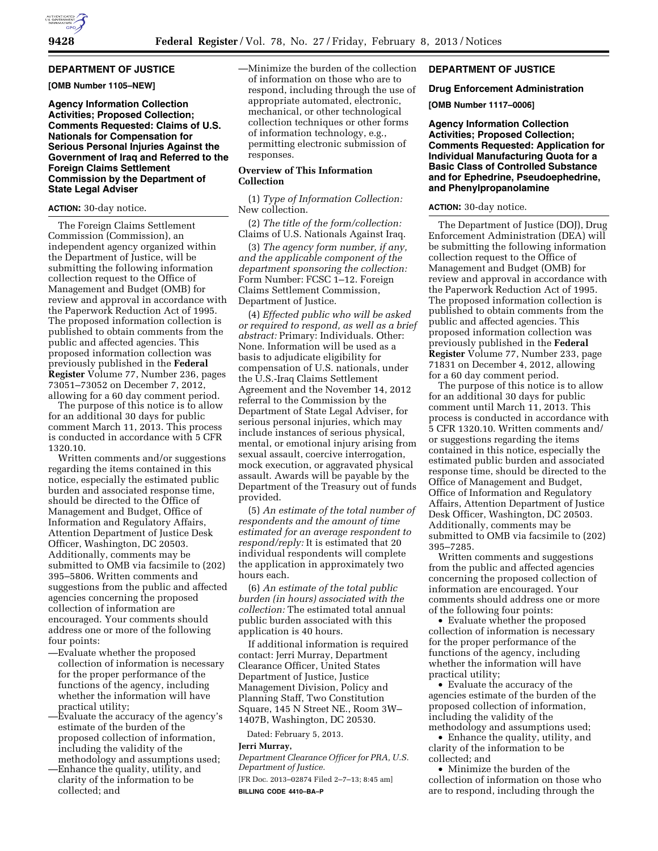# **DEPARTMENT OF JUSTICE**

**[OMB Number 1105–NEW]** 

**Agency Information Collection Activities; Proposed Collection; Comments Requested: Claims of U.S. Nationals for Compensation for Serious Personal Injuries Against the Government of Iraq and Referred to the Foreign Claims Settlement Commission by the Department of State Legal Adviser** 

## **ACTION:** 30-day notice.

The Foreign Claims Settlement Commission (Commission), an independent agency organized within the Department of Justice, will be submitting the following information collection request to the Office of Management and Budget (OMB) for review and approval in accordance with the Paperwork Reduction Act of 1995. The proposed information collection is published to obtain comments from the public and affected agencies. This proposed information collection was previously published in the **Federal Register** Volume 77, Number 236, pages 73051–73052 on December 7, 2012, allowing for a 60 day comment period.

The purpose of this notice is to allow for an additional 30 days for public comment March 11, 2013. This process is conducted in accordance with 5 CFR 1320.10.

Written comments and/or suggestions regarding the items contained in this notice, especially the estimated public burden and associated response time, should be directed to the Office of Management and Budget, Office of Information and Regulatory Affairs, Attention Department of Justice Desk Officer, Washington, DC 20503. Additionally, comments may be submitted to OMB via facsimile to (202) 395–5806. Written comments and suggestions from the public and affected agencies concerning the proposed collection of information are encouraged. Your comments should address one or more of the following four points:

- —Evaluate whether the proposed collection of information is necessary for the proper performance of the functions of the agency, including whether the information will have practical utility;
- —Evaluate the accuracy of the agency's estimate of the burden of the proposed collection of information, including the validity of the methodology and assumptions used;
- —Enhance the quality, utility, and clarity of the information to be collected; and

—Minimize the burden of the collection of information on those who are to respond, including through the use of appropriate automated, electronic, mechanical, or other technological collection techniques or other forms of information technology, e.g., permitting electronic submission of responses.

# **Overview of This Information Collection**

(1) *Type of Information Collection:*  New collection.

(2) *The title of the form/collection:*  Claims of U.S. Nationals Against Iraq.

(3) *The agency form number, if any, and the applicable component of the department sponsoring the collection:*  Form Number: FCSC 1–12. Foreign Claims Settlement Commission, Department of Justice.

(4) *Effected public who will be asked or required to respond, as well as a brief abstract:* Primary: Individuals. Other: None. Information will be used as a basis to adjudicate eligibility for compensation of U.S. nationals, under the U.S.-Iraq Claims Settlement Agreement and the November 14, 2012 referral to the Commission by the Department of State Legal Adviser, for serious personal injuries, which may include instances of serious physical, mental, or emotional injury arising from sexual assault, coercive interrogation, mock execution, or aggravated physical assault. Awards will be payable by the Department of the Treasury out of funds provided.

(5) *An estimate of the total number of respondents and the amount of time estimated for an average respondent to respond/reply:* It is estimated that 20 individual respondents will complete the application in approximately two hours each.

(6) *An estimate of the total public burden (in hours) associated with the collection:* The estimated total annual public burden associated with this application is 40 hours.

If additional information is required contact: Jerri Murray, Department Clearance Officer, United States Department of Justice, Justice Management Division, Policy and Planning Staff, Two Constitution Square, 145 N Street NE., Room 3W– 1407B, Washington, DC 20530.

Dated: February 5, 2013.

#### **Jerri Murray,**

*Department Clearance Officer for PRA, U.S. Department of Justice.* 

[FR Doc. 2013–02874 Filed 2–7–13; 8:45 am] **BILLING CODE 4410–BA–P** 

# **DEPARTMENT OF JUSTICE**

#### **Drug Enforcement Administration**

**[OMB Number 1117–0006]** 

**Agency Information Collection Activities; Proposed Collection; Comments Requested: Application for Individual Manufacturing Quota for a Basic Class of Controlled Substance and for Ephedrine, Pseudoephedrine, and Phenylpropanolamine** 

### **ACTION:** 30-day notice.

The Department of Justice (DOJ), Drug Enforcement Administration (DEA) will be submitting the following information collection request to the Office of Management and Budget (OMB) for review and approval in accordance with the Paperwork Reduction Act of 1995. The proposed information collection is published to obtain comments from the public and affected agencies. This proposed information collection was previously published in the **Federal Register** Volume 77, Number 233, page 71831 on December 4, 2012, allowing for a 60 day comment period.

The purpose of this notice is to allow for an additional 30 days for public comment until March 11, 2013. This process is conducted in accordance with 5 CFR 1320.10. Written comments and/ or suggestions regarding the items contained in this notice, especially the estimated public burden and associated response time, should be directed to the Office of Management and Budget, Office of Information and Regulatory Affairs, Attention Department of Justice Desk Officer, Washington, DC 20503. Additionally, comments may be submitted to OMB via facsimile to (202) 395–7285.

Written comments and suggestions from the public and affected agencies concerning the proposed collection of information are encouraged. Your comments should address one or more of the following four points:

• Evaluate whether the proposed collection of information is necessary for the proper performance of the functions of the agency, including whether the information will have practical utility;

• Evaluate the accuracy of the agencies estimate of the burden of the proposed collection of information, including the validity of the methodology and assumptions used;

• Enhance the quality, utility, and clarity of the information to be collected; and

• Minimize the burden of the collection of information on those who are to respond, including through the